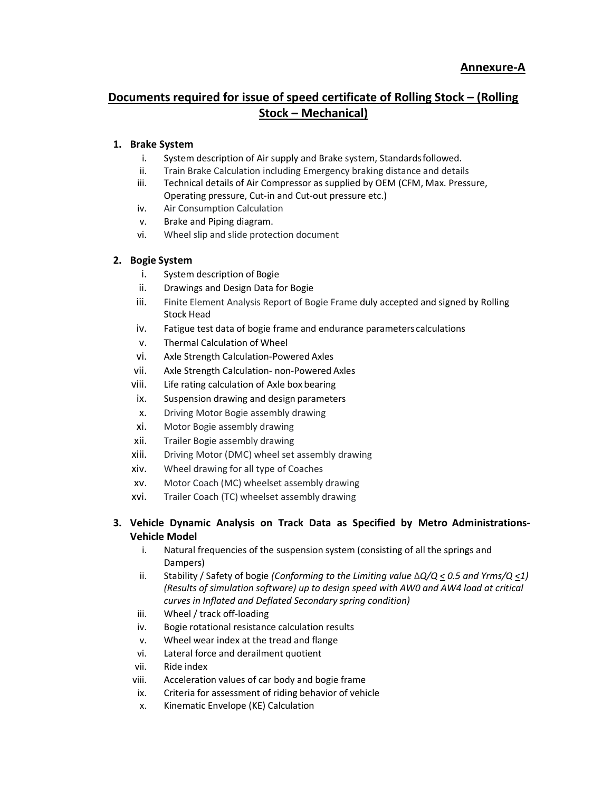## Documents required for issue of speed certificate of Rolling Stock – (Rolling Stock – Mechanical)

## 1. Brake System

- i. System description of Air supply and Brake system, Standards followed.
- ii. Train Brake Calculation including Emergency braking distance and details
- iii. Technical details of Air Compressor as supplied by OEM (CFM, Max. Pressure, Operating pressure, Cut-in and Cut-out pressure etc.)
- iv. Air Consumption Calculation
- v. Brake and Piping diagram.
- vi. Wheel slip and slide protection document

## 2. Bogie System

- i. System description of Bogie
- ii. Drawings and Design Data for Bogie
- iii. Finite Element Analysis Report of Bogie Frame duly accepted and signed by Rolling Stock Head
- iv. Fatigue test data of bogie frame and endurance parameters calculations
- v. Thermal Calculation of Wheel
- vi. Axle Strength Calculation-Powered Axles
- vii. Axle Strength Calculation- non-Powered Axles
- viii. Life rating calculation of Axle box bearing
- ix. Suspension drawing and design parameters
- x. Driving Motor Bogie assembly drawing
- xi. Motor Bogie assembly drawing
- xii. Trailer Bogie assembly drawing
- xiii. Driving Motor (DMC) wheel set assembly drawing
- xiv. Wheel drawing for all type of Coaches
- xv. Motor Coach (MC) wheelset assembly drawing
- xvi. Trailer Coach (TC) wheelset assembly drawing

## 3. Vehicle Dynamic Analysis on Track Data as Specified by Metro Administrations-Vehicle Model

- i. Natural frequencies of the suspension system (consisting of all the springs and Dampers)
- ii. Stability / Safety of bogie (Conforming to the Limiting value  $\Delta Q/Q \leq 0.5$  and Yrms/Q  $\leq 1$ ) (Results of simulation software) up to design speed with AW0 and AW4 load at critical curves in Inflated and Deflated Secondary spring condition)
- iii. Wheel / track off-loading
- iv. Bogie rotational resistance calculation results
- v. Wheel wear index at the tread and flange
- vi. Lateral force and derailment quotient
- vii. Ride index
- viii. Acceleration values of car body and bogie frame
- ix. Criteria for assessment of riding behavior of vehicle
- x. Kinematic Envelope (KE) Calculation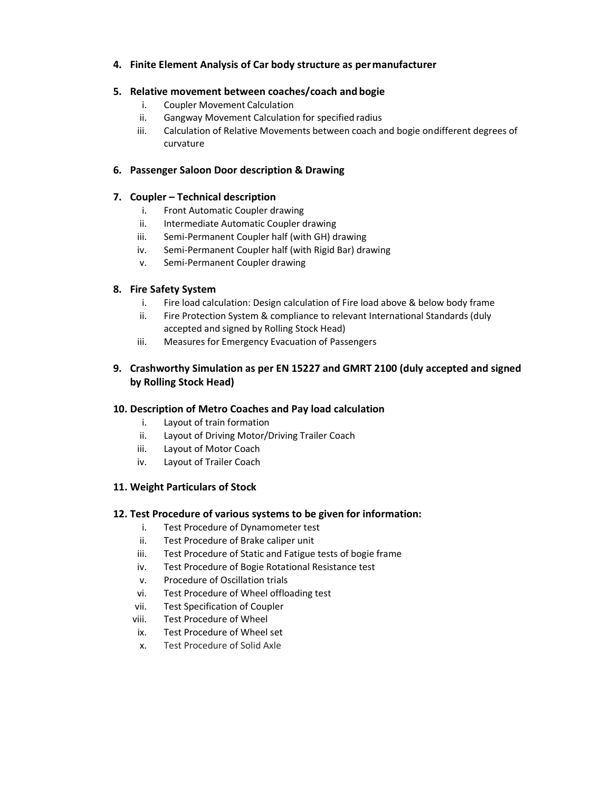## 4. Finite Element Analysis of Car body structure as per manufacturer

#### 5. Relative movement between coaches/coach and bogie

- i. Coupler Movement Calculation
- ii. Gangway Movement Calculation for specified radius
- iii. Calculation of Relative Movements between coach and bogie on different degrees of curvature

#### 6. Passenger Saloon Door description & Drawing

#### 7. Coupler – Technical description

- i. Front Automatic Coupler drawing
- ii. Intermediate Automatic Coupler drawing
- iii. Semi-Permanent Coupler half (with GH) drawing
- iv. Semi-Permanent Coupler half (with Rigid Bar) drawing
- v. Semi-Permanent Coupler drawing

#### 8. Fire Safety System

- i. Fire load calculation: Design calculation of Fire load above & below body frame
- ii. Fire Protection System & compliance to relevant International Standards (duly accepted and signed by Rolling Stock Head)
- iii. Measures for Emergency Evacuation of Passengers

## 9. Crashworthy Simulation as per EN 15227 and GMRT 2100 (duly accepted and signed by Rolling Stock Head)

#### 10. Description of Metro Coaches and Pay load calculation

- i. Layout of train formation
- ii. Layout of Driving Motor/Driving Trailer Coach
- iii. Layout of Motor Coach
- iv. Layout of Trailer Coach

#### 11. Weight Particulars of Stock

#### 12. Test Procedure of various systems to be given for information:

- i. Test Procedure of Dynamometer test
- ii. Test Procedure of Brake caliper unit
- iii. Test Procedure of Static and Fatigue tests of bogie frame
- iv. Test Procedure of Bogie Rotational Resistance test
- v. Procedure of Oscillation trials
- vi. Test Procedure of Wheel offloading test
- vii. Test Specification of Coupler
- viii. Test Procedure of Wheel
- ix. Test Procedure of Wheel set
- x. Test Procedure of Solid Axle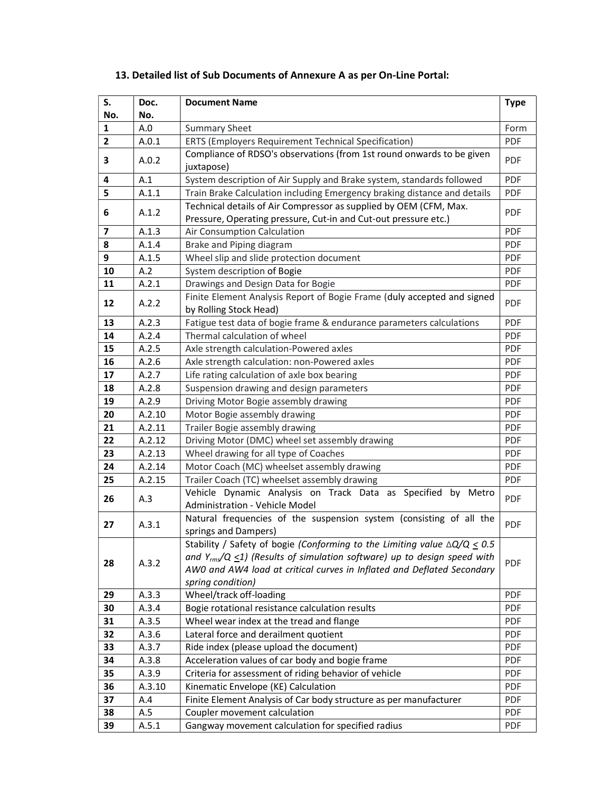| S.<br>No.               | Doc.<br>No.                                                                                                                                                                                                                                                                         | <b>Document Name</b>                                                                              | <b>Type</b> |  |
|-------------------------|-------------------------------------------------------------------------------------------------------------------------------------------------------------------------------------------------------------------------------------------------------------------------------------|---------------------------------------------------------------------------------------------------|-------------|--|
| 1                       | A.0                                                                                                                                                                                                                                                                                 | <b>Summary Sheet</b>                                                                              |             |  |
| $\mathbf{2}$            | A.0.1                                                                                                                                                                                                                                                                               | Form<br>PDF<br>ERTS (Employers Requirement Technical Specification)                               |             |  |
| 3                       | A.0.2                                                                                                                                                                                                                                                                               | Compliance of RDSO's observations (from 1st round onwards to be given<br>juxtapose)               |             |  |
| 4                       | A.1                                                                                                                                                                                                                                                                                 | System description of Air Supply and Brake system, standards followed                             | PDF         |  |
| 5                       | A.1.1                                                                                                                                                                                                                                                                               | Train Brake Calculation including Emergency braking distance and details                          | PDF         |  |
| 6                       | Technical details of Air Compressor as supplied by OEM (CFM, Max.<br>A.1.2<br>Pressure, Operating pressure, Cut-in and Cut-out pressure etc.)                                                                                                                                       |                                                                                                   | <b>PDF</b>  |  |
| $\overline{\mathbf{z}}$ | A.1.3                                                                                                                                                                                                                                                                               | Air Consumption Calculation                                                                       | PDF         |  |
| 8                       | A.1.4                                                                                                                                                                                                                                                                               | Brake and Piping diagram                                                                          | <b>PDF</b>  |  |
| 9                       | A.1.5                                                                                                                                                                                                                                                                               | Wheel slip and slide protection document<br><b>PDF</b>                                            |             |  |
| 10                      | A.2                                                                                                                                                                                                                                                                                 | System description of Bogie<br>PDF                                                                |             |  |
| 11                      | A.2.1                                                                                                                                                                                                                                                                               | Drawings and Design Data for Bogie                                                                | PDF         |  |
| 12                      | A.2.2                                                                                                                                                                                                                                                                               | Finite Element Analysis Report of Bogie Frame (duly accepted and signed<br>by Rolling Stock Head) | PDF         |  |
| 13                      | A.2.3                                                                                                                                                                                                                                                                               | Fatigue test data of bogie frame & endurance parameters calculations                              |             |  |
| 14                      | A.2.4                                                                                                                                                                                                                                                                               | Thermal calculation of wheel                                                                      |             |  |
| 15                      | A.2.5                                                                                                                                                                                                                                                                               | Axle strength calculation-Powered axles                                                           |             |  |
| 16                      | A.2.6                                                                                                                                                                                                                                                                               | Axle strength calculation: non-Powered axles                                                      |             |  |
| 17                      | A.2.7                                                                                                                                                                                                                                                                               | Life rating calculation of axle box bearing                                                       |             |  |
| 18                      | A.2.8                                                                                                                                                                                                                                                                               | Suspension drawing and design parameters                                                          |             |  |
| 19                      | A.2.9                                                                                                                                                                                                                                                                               | Driving Motor Bogie assembly drawing                                                              |             |  |
| 20                      | A.2.10                                                                                                                                                                                                                                                                              | Motor Bogie assembly drawing                                                                      |             |  |
| 21                      | A.2.11                                                                                                                                                                                                                                                                              | Trailer Bogie assembly drawing                                                                    |             |  |
| 22                      | A.2.12                                                                                                                                                                                                                                                                              | Driving Motor (DMC) wheel set assembly drawing                                                    |             |  |
| 23                      | A.2.13                                                                                                                                                                                                                                                                              | Wheel drawing for all type of Coaches                                                             |             |  |
| 24                      | A.2.14                                                                                                                                                                                                                                                                              | Motor Coach (MC) wheelset assembly drawing                                                        |             |  |
| 25                      | A.2.15                                                                                                                                                                                                                                                                              | Trailer Coach (TC) wheelset assembly drawing                                                      |             |  |
| 26                      | A.3                                                                                                                                                                                                                                                                                 | Vehicle Dynamic Analysis on Track Data as Specified by Metro<br>Administration - Vehicle Model    |             |  |
| 27                      | A.3.1                                                                                                                                                                                                                                                                               | Natural frequencies of the suspension system (consisting of all the<br>springs and Dampers)       |             |  |
| 28                      | Stability / Safety of bogie (Conforming to the Limiting value $\Delta Q/Q \leq 0.5$<br>and Y <sub>rms</sub> /Q <1) (Results of simulation software) up to design speed with<br>A.3.2<br>AWO and AW4 load at critical curves in Inflated and Deflated Secondary<br>spring condition) |                                                                                                   | <b>PDF</b>  |  |
| 29                      | A.3.3                                                                                                                                                                                                                                                                               | Wheel/track off-loading                                                                           | <b>PDF</b>  |  |
| 30                      | A.3.4                                                                                                                                                                                                                                                                               | Bogie rotational resistance calculation results                                                   | <b>PDF</b>  |  |
| 31                      | A.3.5                                                                                                                                                                                                                                                                               | Wheel wear index at the tread and flange                                                          | PDF         |  |
| 32                      | A.3.6                                                                                                                                                                                                                                                                               | Lateral force and derailment quotient                                                             | PDF         |  |
| 33                      | A.3.7                                                                                                                                                                                                                                                                               | Ride index (please upload the document)<br>PDF                                                    |             |  |
| 34                      | A.3.8                                                                                                                                                                                                                                                                               | Acceleration values of car body and bogie frame<br><b>PDF</b>                                     |             |  |
| 35                      | A.3.9                                                                                                                                                                                                                                                                               | Criteria for assessment of riding behavior of vehicle                                             | <b>PDF</b>  |  |
| 36                      | A.3.10                                                                                                                                                                                                                                                                              | Kinematic Envelope (KE) Calculation                                                               | <b>PDF</b>  |  |
| 37                      | A.4                                                                                                                                                                                                                                                                                 | Finite Element Analysis of Car body structure as per manufacturer                                 | PDF         |  |
| 38                      | A.5                                                                                                                                                                                                                                                                                 | Coupler movement calculation                                                                      | <b>PDF</b>  |  |
| 39                      | A.5.1                                                                                                                                                                                                                                                                               | Gangway movement calculation for specified radius                                                 | PDF         |  |

# 13. Detailed list of Sub Documents of Annexure A as per On-Line Portal: